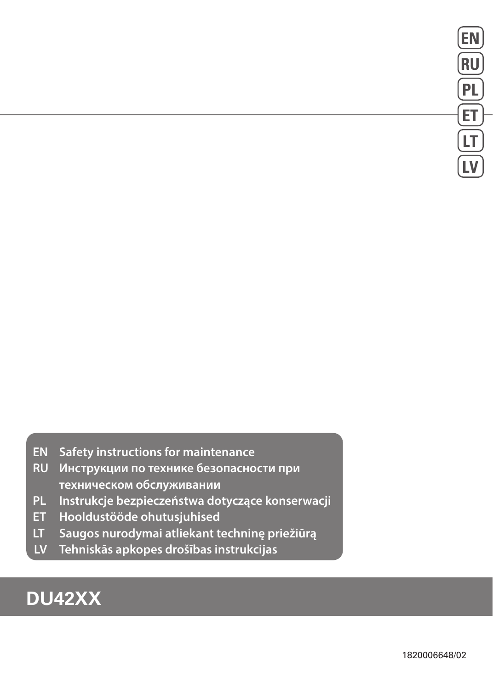- **EN Safety instructions for maintenance**
- **RU Инструкции по технике безопасности при техническом обслуживании**
- **PL Instrukcje bezpieczeństwa dotyczące konserwacji**
- **ET Hooldustööde ohutusjuhised**
- **LT Saugos nurodymai atliekant techninę priežiūrą**
- **LV Tehniskās apkopes drošības instrukcijas**

# **DU42XX**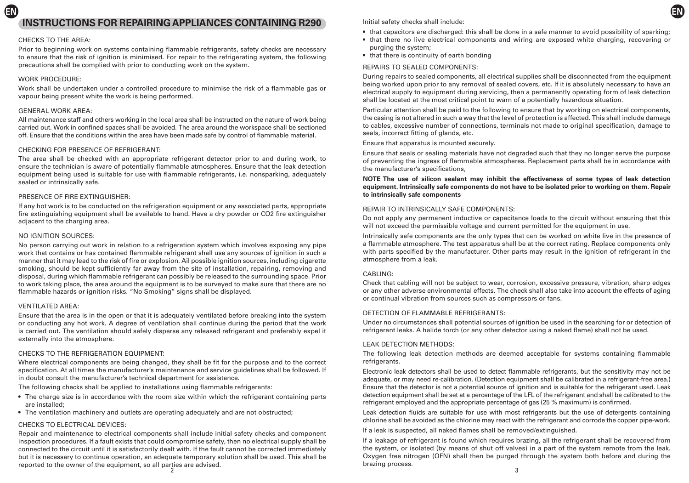# **EN INSTRUCTIONS FOR REPAIRING APPLIANCES CONTAINING R290**

# CHECKS TO THE AREA:

Prior to beginning work on systems containing flammable refrigerants, safety checks are necessary to ensure that the risk of ignition is minimised. For repair to the refrigerating system, the following precautions shall be complied with prior to conducting work on the system.

# WORK PROCEDURE:

Work shall be undertaken under a controlled procedure to minimise the risk of a flammable gas or vapour being present white the work is being performed.

# GENERAL WORK AREA:

All maintenance staff and others working in the local area shall be instructed on the nature of work being carried out. Work in confined spaces shall be avoided. The area around the workspace shall be sectioned off. Ensure that the conditions within the area have been made safe by control of flammable material.

# CHECKING FOR PRESENCE OF REFRIGERANT:

The area shall be checked with an appropriate refrigerant detector prior to and during work, to ensure the technician is aware of potentially flammable atmospheres. Ensure that the leak detection equipment being used is suitable for use with flammable refrigerants, i.e. nonsparking, adequately sealed or intrinsically safe.

# PRESENCE OF FIRE EXTINGUISHER:

If any hot work is to be conducted on the refrigeration equipment or any associated parts, appropriate fire extinguishing equipment shall be available to hand. Have a dry powder or CO2 fire extinguisher adjacent to the charging area.

# NO IGNITION SOURCES:

No person carrying out work in relation to a refrigeration system which involves exposing any pipe work that contains or has contained flammable refrigerant shall use any sources of ignition in such a manner that it may lead to the risk of fire or explosion. Ail possible ignition sources, including cigarette smoking, should be kept sufficiently far away from the site of installation, repairing, removing and disposal, during which flammable refrigerant can possibly be released to the surrounding space. Prior to work taking place, the area around the equipment is to be surveyed to make sure that there are no flammable hazards or ignition risks. "No Smoking" signs shall be displayed.

# VENTILATED AREA:

Ensure that the area is in the open or that it is adequately ventilated before breaking into the system or conducting any hot work. A degree of ventilation shall continue during the period that the work is carried out. The ventilation should safely disperse any released refrigerant and preferably expel it externally into the atmosphere.

# CHECKS TO THE REFRIGERATION EQUIPMENT:

Where electrical components are being changed, they shall be fit for the purpose and to the correct specification. At all times the manufacturer's maintenance and service guidelines shall be followed. If in doubt consult the manufacturer's technical department for assistance.

The following checks shall be applied to installations using flammable refrigerants:

- The charge size is in accordance with the room size within which the refrigerant containing parts are installed;
- The ventilation machinery and outlets are operating adequately and are not obstructed;

# CHECKS TO ELECTRICAL DEVICES:

2  $\sim$  3 Repair and maintenance to electrical components shall include initial safety checks and component inspection procedures. If a fault exists that could compromise safety, then no electrical supply shall be connected to the circuit until it is satisfactorily dealt with. If the fault cannot be corrected immediately but it is necessary to continue operation, an adequate temporary solution shall be used. This shall be reported to the owner of the equipment, so all parties are advised.

Initial safety checks shall include:

• that capacitors are discharged: this shall be done in a safe manner to avoid possibility of sparking;

**EN**

- that there no live electrical components and wiring are exposed white charging, recovering or purging the system;
- that there is continuity of earth bonding

# REPAIRS TO SEALED COMPONENTS:

During repairs to sealed components, all electrical supplies shall be disconnected from the equipment being worked upon prior to any removal of sealed covers, etc. If it is absolutely necessary to have an electrical supply to equipment during servicing, then a permanently operating form of leak detection shall be located at the most critical point to warn of a potentially hazardous situation.

Particular attention shall be paid to the following to ensure that by working on electrical components, the casing is not altered in such a way that the level of protection is affected. This shall include damage to cables, excessive number of connections, terminals not made to original specification, damage to seals, incorrect fitting of glands, etc.

Ensure that apparatus is mounted securely.

Ensure that seals or sealing materials have not degraded such that they no longer serve the purpose of preventing the ingress of flammable atmospheres. Replacement parts shall be in accordance with the manufacturer's specifications,

# **NOTE The use of silicon sealant may inhibit the effectiveness of some types of leak detection equipment. Intrinsically safe components do not have to be isolated prior to working on them. Repair to intrinsically safe components**

# REPAIR TO INTRINSICALLY SAFE COMPONENTS:

Do not apply any permanent inductive or capacitance loads to the circuit without ensuring that this will not exceed the permissible voltage and current permitted for the equipment in use.

Intrinsically safe components are the only types that can be worked on white live in the presence of a flammable atmosphere. The test apparatus shall be at the correct rating. Replace components only with parts specified by the manufacturer. Other parts may result in the ignition of refrigerant in the atmosphere from a leak.

# CABLING:

Check that cabling will not be subject to wear, corrosion, excessive pressure, vibration, sharp edges or any other adverse environmental effects. The check shall also take into account the effects of aging or continual vibration from sources such as compressors or fans.

# DETECTION OF FLAMMABLE REFRIGERANTS:

Under no circumstances shall potential sources of ignition be used in the searching for or detection of refrigerant leaks. A halide torch (or any other detector using a naked flame) shall not be used.

# LEAK DETECTION METHODS:

The following leak detection methods are deemed acceptable for systems containing flammable refrigerants.

Electronic leak detectors shall be used to detect flammable refrigerants, but the sensitivity may not be adequate, or may need re-calibration. (Detection equipment shall be calibrated in a refrigerant-free area.) Ensure that the detector is not a potential source of ignition and is suitable for the refrigerant used. Leak detection equipment shall be set at a percentage of the LFL of the refrigerant and shall be calibrated to the refrigerant employed and the appropriate percentage of gas (25 % maximum) is confirmed.

Leak detection fluids are suitable for use with most refrigerants but the use of detergents containing chlorine shall be avoided as the chlorine may react with the refrigerant and corrode the copper pipe-work.

If a leak is suspected, all naked flames shall be removed/extinguished.

If a leakage of refrigerant is found which requires brazing, all the refrigerant shall be recovered from the system, or isolated (by means of shut off valves) in a part of the system remote from the leak. Oxygen free nitrogen (OFN) shall then be purged through the system both before and during the brazing process.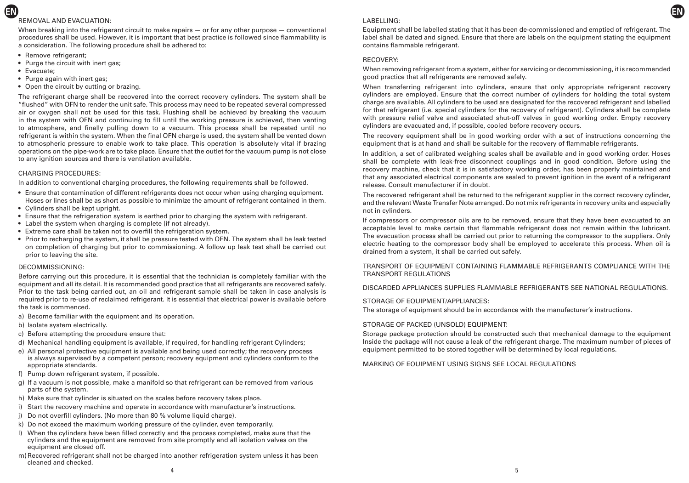# REMOVAL AND EVACUATION:

When breaking into the refrigerant circuit to make repairs  $-$  or for any other purpose  $-$  conventional procedures shall be used. However, it is important that best practice is followed since flammability is a consideration. The following procedure shall be adhered to:

- Remove refrigerant:
- Purge the circuit with inert gas;
- Evacuate;

**EN**

- Purge again with inert gas:
- Open the circuit by cutting or brazing.

The refrigerant charge shall be recovered into the correct recovery cylinders. The system shall be "flushed" with OFN to render the unit safe. This process may need to be repeated several compressed air or oxygen shall not be used for this task. Flushing shall be achieved by breaking the vacuum in the system with OFN and continuing to fill until the working pressure is achieved, then venting to atmosphere, and finally pulling down to a vacuum. This process shall be repeated until no refrigerant is within the system. When the final OFN charge is used, the system shall be vented down to atmospheric pressure to enable work to take place. This operation is absolutely vital if brazing operations on the pipe-work are to take place. Ensure that the outlet for the vacuum pump is not close to any ignition sources and there is ventilation available.

### CHARGING PROCEDURES:

In addition to conventional charging procedures, the following requirements shall be followed.

- Ensure that contamination of different refrigerants does not occur when using charging equipment. Hoses or lines shall be as short as possible to minimize the amount of refrigerant contained in them.
- Cylinders shall be kept upright.
- Ensure that the refrigeration system is earthed prior to charging the system with refrigerant.
- Label the system when charging is complete (if not already).
- Extreme care shall be taken not to overfill the refrigeration system.
- Prior to recharging the system, it shall be pressure tested with OFN. The system shall be leak tested on completion of charging but prior to commissioning. A follow up leak test shall be carried out prior to leaving the site.

### DECOMMISSIONING:

Before carrying out this procedure, it is essential that the technician is completely familiar with the equipment and all its detail. It is recommended good practice that all refrigerants are recovered safely. Prior to the task being carried out, an oil and refrigerant sample shall be taken in case analysis is required prior to re-use of reclaimed refrigerant. It is essential that electrical power is available before the task is commenced.

- a) Become familiar with the equipment and its operation.
- b) Isolate system electrically.
- c) Before attempting the procedure ensure that:
- d) Mechanical handling equipment is available, if required, for handling refrigerant Cylinders;
- e) All personal protective equipment is available and being used correctly; the recovery process is always supervised by a competent person; recovery equipment and cylinders conform to the appropriate standards.
- f) Pump down refrigerant system, if possible.
- g) If a vacuum is not possible, make a manifold so that refrigerant can be removed from various parts of the system.
- h) Make sure that cylinder is situated on the scales before recovery takes place.
- i) Start the recovery machine and operate in accordance with manufacturer's instructions.
- j) Do not overfill cylinders. (No more than 80 % volume liquid charge).
- k) Do not exceed the maximum working pressure of the cylinder, even temporarily.
- l) When the cylinders have been filled correctly and the process completed, make sure that the cylinders and the equipment are removed from site promptly and all isolation valves on the equipment are closed off.
- m)Recovered refrigerant shall not be charged into another refrigeration system unless it has been cleaned and checked.

# LABELLING:

Equipment shall be labelled stating that it has been de-commissioned and emptied of refrigerant. The label shall be dated and signed. Ensure that there are labels on the equipment stating the equipment contains flammable refrigerant.

**EN**

# RECOVERY:

When removing refrigerant from a system, either for servicing or decommissioning, it is recommended good practice that all refrigerants are removed safely.

When transferring refrigerant into cylinders, ensure that only appropriate refrigerant recovery cylinders are employed. Ensure that the correct number of cylinders for holding the total system charge are available. All cylinders to be used are designated for the recovered refrigerant and labelled for that refrigerant (i.e. special cylinders for the recovery of refrigerant). Cylinders shall be complete with pressure relief valve and associated shut-off valves in good working order. Empty recovery cylinders are evacuated and, if possible, cooled before recovery occurs.

The recovery equipment shall be in good working order with a set of instructions concerning the equipment that is at hand and shall be suitable for the recovery of flammable refrigerants.

In addition, a set of calibrated weighing scales shall be available and in good working order. Hoses shall be complete with leak-free disconnect couplings and in good condition. Before using the recovery machine, check that it is in satisfactory working order, has been properly maintained and that any associated electrical components are sealed to prevent ignition in the event of a refrigerant release. Consult manufacturer if in doubt.

The recovered refrigerant shall be returned to the refrigerant supplier in the correct recovery cylinder, and the relevant Waste Transfer Note arranged. Do not mix refrigerants in recovery units and especially not in cylinders.

If compressors or compressor oils are to be removed, ensure that they have been evacuated to an acceptable level to make certain that flammable refrigerant does not remain within the lubricant. The evacuation process shall be carried out prior to returning the compressor to the suppliers. Only electric heating to the compressor body shall be employed to accelerate this process. When oil is drained from a system, it shall be carried out safely.

# TRANSPORT OF EQUIPMENT CONTAINING FLAMMABLE REFRIGERANTS COMPLIANCE WITH THE TRANSPORT REGULATIONS

DISCARDED APPLIANCES SUPPLIES FLAMMABLE REFRIGERANTS SEE NATIONAL REGULATIONS.

### STORAGE OF EQUIPMENT/APPLIANCES:

The storage of equipment should be in accordance with the manufacturer's instructions.

### STORAGE OF PACKED (UNSOLD) EQUIPMENT:

Storage package protection should be constructed such that mechanical damage to the equipment Inside the package will not cause a leak of the refrigerant charge. The maximum number of pieces of equipment permitted to be stored together will be determined by local regulations.

### MARKING OF EQUIPMENT USING SIGNS SEE LOCAL REGULATIONS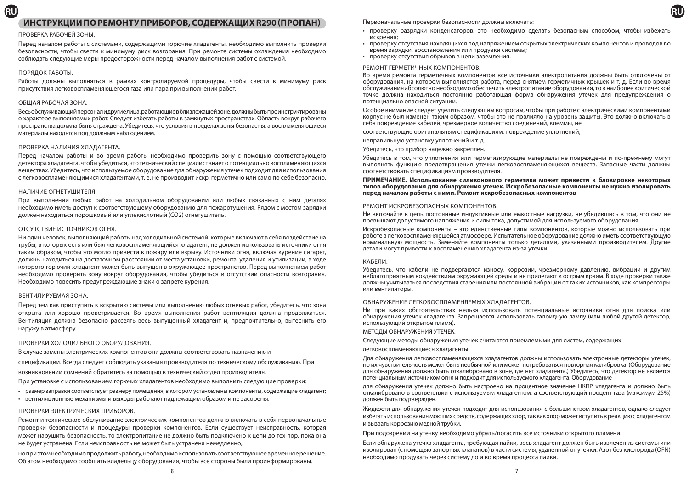# **ИНСТРУКЦИИ ПО РЕМОНТУ ПРИБОРОВ, СОДЕРЖАЩИХ R290 (ПРОПАН)**

### ПРОВЕРКА РАБОЧЕЙ ЗОНЫ.

Перед началом работы с системами, содержащими горючие хладагенты, необходимо выполнить проверки безопасности, чтобы свести к минимуму риск возгорания. При ремонте системы охлаждения необходимо соблюдать следующие меры предосторожности перед началом выполнения работ с системой.

### ПОРЯДОК РАБОТЫ.

**RU**

Работы должны выполняться в рамках контролируемой процедуры, чтобы свести к минимуму риск присутствия легковоспламеняющегося газа или пара при выполнении работ.

### ОБЩАЯ РАБОЧАЯ ЗОНА.

Весь обслуживающий персонал и другие лица, работающие в близлежащей зоне, должны быть проинструктированы о характере выполняемых работ. Следует избегать работы в замкнутых пространствах. Область вокруг рабочего пространства должна быть ограждена. Убедитесь, что условия в пределах зоны безопасны, а воспламеняющиеся материалы находятся под должным наблюдением.

### ПРОВЕРКА НАЛИЧИЯ ХЛАДАГЕНТА.

Перед началом работы и во время работы необходимо проверить зону с помощью соответствующего детектора хладагента, чтобы убедиться, что технический специалист знает о потенциально воспламеняющихся веществах. Убедитесь, что используемое оборудование для обнаружения утечек подходит для использования с легковоспламеняющимися хладагентами, т. е. не производит искр, герметично или само по себе безопасно.

### НАЛИЧИЕ ОГНЕТУШИТЕЛЯ.

При выполнении любых работ на холодильном оборудовании или любых связанных с ним деталях необходимо иметь доступ к соответствующему оборудованию для пожаротушения. Рядом с местом зарядки должен находиться порошковый или углекислотный (CO2) огнетушитель.

### ОТСУТСТВИЕ ИСТОЧНИКОВ ОГНЯ.

Ни один человек, выполняющий работы над холодильной системой, которые включают в себя воздействие на трубы, в которых есть или был легковоспламеняющийся хладагент, не должен использовать источники огня таким образом, чтобы это могло привести к пожару или взрыву. Источники огня, включая курение сигарет, должны находиться на достаточном расстоянии от места установки, ремонта, удаления и утилизации, в ходе которого горючий хладагент может быть выпущен в окружающее пространство. Перед выполнением работ необходимо проверить зону вокруг оборудования, чтобы убедиться в отсутствии опасности возгорания. Необходимо повесить предупреждающие знаки о запрете курения.

### ВЕНТИЛИРУЕМАЯ ЗОНА.

Перед тем как приступить к вскрытию системы или выполнению любых огневых работ, убедитесь, что зона открыта или хорошо проветривается. Во время выполнения работ вентиляция должна продолжаться. Вентиляция должна безопасно рассеять весь выпущенный хладагент и, предпочтительно, вытеснить его наружу в атмосферу.

### ПРОВЕРКИ ХОЛОДИЛЬНОГО ОБОРУДОВАНИЯ.

В случае замены электрических компонентов они должны соответствовать назначению и

спецификации. Всегда следует соблюдать указания производителя по техническому обслуживанию. При

возникновении сомнений обратитесь за помощью в технический отдел производителя.

При установке с использованием горючих хладагентов необходимо выполнить следующие проверки:

- размер заправки соответствует размеру помещения, в котором установлены компоненты, содержащие хладагент;
- вентиляционные механизмы и выходы работают надлежащим образом и не засорены.

### ПРОВЕРКИ ЭЛЕКТРИЧЕСКИХ ПРИБОРОВ.

Ремонт и техническое обслуживание электрических компонентов должно включать в себя первоначальные проверки безопасности и процедуры проверки компонентов. Если существует неисправность, которая может нарушить безопасность, то электропитание не должно быть подключено к цепи до тех пор, пока она не будет устранена. Если неисправность не может быть устранена немедленно,

но при этом необходимо продолжить работу, необходимо использовать соответствующее временное решение. Об этом необходимо сообщить владельцу оборудования, чтобы все стороны были проинформированы.

Первоначальные проверки безопасности должны включать:

• проверку разрядки конденсаторов: это необходимо сделать безопасным способом, чтобы избежать искрения;

**RU**

- проверку отсутствия находящихся под напряжением открытых электрических компонентов и проводов во время зарядки, восстановления или продувки системы;
- проверку отсутствия обрывов в цепи заземления.

### РЕМОНТ ГЕРМЕТИЧНЫХ КОМПОНЕНТОВ.

Во время ремонта герметичных компонентов все источники электропитания должны быть отключены от оборудования, на котором выполняется работа, перед снятием герметичных крышек и т. д. Если во время обслуживания абсолютно необходимо обеспечить электропитание оборудования, то в наиболее критической точке должна находиться постоянно работающая форма обнаружения утечек для предупреждения о потенциально опасной ситуации.

Особое внимание следует уделить следующим вопросам, чтобы при работе с электрическими компонентами корпус не был изменен таким образом, чтобы это не повлияло на уровень защиты. Это должно включать в себя повреждение кабелей, чрезмерное количество соединений, клеммы, не

соответствующие оригинальным спецификациям, повреждение уплотнений,

неправильную установку уплотнений и т. д.

Убедитесь, что прибор надежно закреплен.

Убедитесь в том, что уплотнения или герметизирующие материалы не повреждены и по-прежнему могут выполнять функцию предотвращения утечки легковоспламеняющихся веществ. Запасные части должны соответствовать спецификациям производителя.

### **ПРИМЕЧАНИЕ. Использование силиконового герметика может привести к блокировке некоторых типов оборудования для обнаружения утечек. Искробезопасные компоненты не нужно изолировать перед началом работы с ними. Ремонт искробезопасных компонентов**

### РЕМОНТ ИСКРОБЕЗОПАСНЫХ КОМПОНЕНТОВ.

Не включайте в цепь постоянные индуктивные или емкостные нагрузки, не убедившись в том, что они не превышают допустимого напряжения и силы тока, допустимой для используемого оборудования.

Искробезопасные компоненты – это единственные типы компонентов, которые можно использовать при работе в легковоспламеняющейся атмосфере. Испытательное оборудование должно иметь соответствующую номинальную мощность. Заменяйте компоненты только деталями, указанными производителем. Другие детали могут привести к воспламенению хладагента из-за утечки.

### КАБЕЛИ.

Убедитесь, что кабели не подвергаются износу, коррозии, чрезмерному давлению, вибрации и другим неблагоприятным воздействиям окружающей среды и не прилегают к острым краям. В ходе проверки также должны учитываться последствия старения или постоянной вибрации от таких источников, как компрессоры или вентиляторы.

### ОБНАРУЖЕНИЕ ЛЕГКОВОСПЛАМЕНЯЕМЫХ ХЛАДАГЕНТОВ.

Ни при каких обстоятельствах нельзя использовать потенциальные источники огня для поиска или обнаружения утечек хладагента. Запрещается использовать галоидную лампу (или любой другой детектор, использующий открытое пламя).

### МЕТОДЫ ОБНАРУЖЕНИЯ УТЕЧЕК.

Следующие методы обнаружения утечек считаются приемлемыми для систем, содержащих

легковоспламеняющиеся хладагенты.

Для обнаружения легковоспламеняющихся хладагентов должны использовать электронные детекторы утечек, но их чувствительность может быть необычной или может потребоваться повторная калибровка. (Оборудование для обнаружения должно быть откалибровано в зоне, где нет хладагента.) Убедитесь, что детектор не является потенциальным источником огня и подходит для используемого хладагента. Оборудование

для обнаружения утечек должно быть настроено на процентное значение НКПР хладагента и должно быть откалибровано в соответствии с используемым хладагентом, а соответствующий процент газа (максимум 25%) должен быть подтвержден.

Жидкости для обнаружения утечек подходят для использования с большинством хладагентов, однако следует избегать использования моющих средств, содержащих хлор, так как хлор может вступить в реакцию с хладагентом и вызвать коррозию медной трубки.

При подозрении на утечку необходимо убрать/погасить все источники открытого пламени.

Если обнаружена утечка хладагента, требующая пайки, весь хладагент должен быть извлечен из системы или изолирован (с помощью запорных клапанов) в части системы, удаленной от утечки. Азот без кислорода (OFN) необходимо продувать через систему до и во время процесса пайки.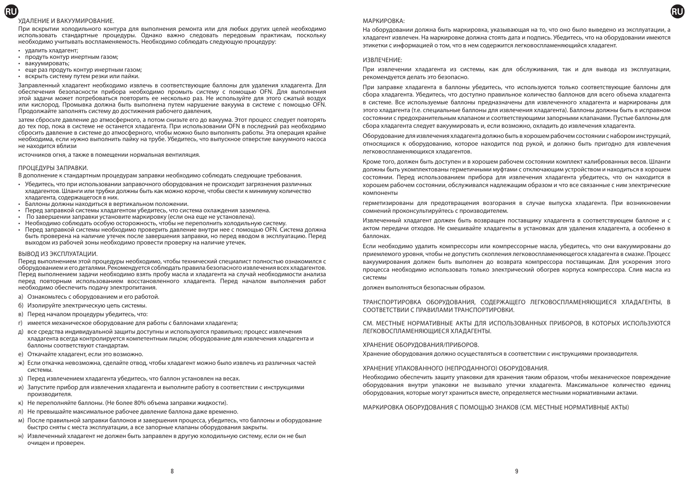### УДАЛЕНИЕ И ВАКУУМИРОВАНИЕ.

При вскрытии холодильного контура для выполнения ремонта или для любых других целей необходимо использовать стандартные процедуры. Однако важно следовать передовым практикам, поскольку необходимо учитывать воспламеняемость. Необходимо соблюдать следующую процедуру:

- удалить хладагент;
- продуть контур инертным газом;
- вакуумировать;

**RU**

- еще раз продуть контур инертным газом;
- вскрыть систему путем резки или пайки.

Заправленный хладагент необходимо извлечь в соответствующие баллоны для удаления хладагента. Для обеспечения безопасности прибора необходимо промыть систему с помощью OFN. Для выполнения этой задачи может потребоваться повторить ее несколько раз. Не используйте для этого сжатый воздух или кислород. Промывка должна быть выполнена путем нарушение вакуума в системе с помощью OFN. Продолжайте заполнять систему до достижения рабочего давления,

затем сбросьте давление до атмосферного, а потом снизьте его до вакуума. Этот процесс следует повторять до тех пор, пока в системе не останется хладагента. При использовании OFN в последний раз необходимо сбросить давление в системе до атмосферного, чтобы можно было выполнять работы. Эта операция крайне необходима, если нужно выполнить пайку на трубе. Убедитесь, что выпускное отверстие вакуумного насоса не находится вблизи

источников огня, а также в помещении нормальная вентиляция.

### ПРОЦЕДУРЫ ЗАПРАВКИ.

В дополнение к стандартным процедурам заправки необходимо соблюдать следующие требования.

- Убедитесь, что при использовании заправочного оборудования не происходит загрязнения различных хладагентов. Шланги или трубки должны быть как можно короче, чтобы свести к минимуму количество хладагента, содержащегося в них.
- Баллоны должны находиться в вертикальном положении.
- Перед заправкой системы хладагентом убедитесь, что система охлаждения заземлена.
- По завершении заправки установите маркировку (если она еще не установлена).
- Необходимо соблюдать особую осторожность, чтобы не переполнить холодильную систему.
- Перед заправкой системы необходимо проверить давление внутри нее с помощью OFN. Система должна быть проверена на наличие утечек после завершения заправки, но перед вводом в эксплуатацию. Перед выходом из рабочей зоны необходимо провести проверку на наличие утечек.

#### ВЫВОД ИЗ ЭКСПЛУАТАЦИИ.

Перед выполнением этой процедуры необходимо, чтобы технический специалист полностью ознакомился с оборудованием и его деталями. Рекомендуется соблюдать правила безопасного извлечения всех хладагентов. Перед выполнением задачи необходимо взять пробу масла и хладагента на случай необходимости анализа перед повторным использованием восстановленного хладагента. Перед началом выполнения работ необходимо обеспечить подачу электропитания.

- а) Ознакомьтесь с оборудованием и его работой.
- б) Изолируйте электрическую цепь системы.
- в) Перед началом процедуры убедитесь, что:
- г) имеется механическое оборудование для работы с баллонами хладагента;
- д) все средства индивидуальной защиты доступны и используются правильно; процесс извлечения хладагента всегда контролируется компетентным лицом; оборудование для извлечения хладагента и баллоны соответствуют стандартам.
- е) Откачайте хладагент, если это возможно.
- ж) Если откачка невозможна, сделайте отвод, чтобы хладагент можно было извлечь из различных частей системы.
- з) Перед извлечением хладагента убедитесь, что баллон установлен на весах.
- и) Запустите прибор для извлечения хладагента и выполните работу в соответствии с инструкциями производителя.
- к) Не переполняйте баллоны. (Не более 80% объема заправки жидкости).
- л) Не превышайте максимальное рабочее давление баллона даже временно.
- м) После правильной заправки баллонов и завершения процесса, убедитесь, что баллоны и оборудование быстро сняты с места эксплуатации, а все запорные клапаны оборудования закрыты.
- н) Извлеченный хладагент не должен быть заправлен в другую холодильную систему, если он не был очищен и проверен.

### МАРКИРОВКА:

На оборудовании должна быть маркировка, указывающая на то, что оно было выведено из эксплуатации, а хладагент извлечен. На маркировке должна стоять дата и подпись. Убедитесь, что на оборудовании имеются этикетки с информацией о том, что в нем содержится легковоспламеняющийся хладагент.

**RU**

#### ИЗВЛЕЧЕНИЕ:

При извлечении хладагента из системы, как для обслуживания, так и для вывода из эксплуатации, рекомендуется делать это безопасно.

При заправке хладагента в баллоны убедитесь, что используются только соответствующие баллоны для сбора хладагента. Убедитесь, что доступно правильное количество баллонов для всего объема хладагента в системе. Все используемые баллоны предназначены для извлеченного хладагента и маркированы для этого хладагента (т.е. специальные баллоны для извлечения хладагента). Баллоны должны быть в исправном состоянии с предохранительным клапаном и соответствующими запорными клапанами. Пустые баллоны для сбора хладагента следует вакуумировать и, если возможно, охладить до извлечения хладагента.

Оборудование для извлечения хладагента должно быть в хорошем рабочем состоянии с набором инструкций, относящихся к оборудованию, которое находится под рукой, и должно быть пригодно для извлечения легковоспламеняющихся хладагентов.

Кроме того, должен быть доступен и в хорошем рабочем состоянии комплект калиброванных весов. Шланги должны быть укомплектованы герметичными муфтами с отключающим устройством и находиться в хорошем состоянии. Перед использованием прибора для извлечения хладагента убедитесь, что он находится в хорошем рабочем состоянии, обслуживался надлежащим образом и что все связанные с ним электрические компоненты

герметизированы для предотвращения возгорания в случае выпуска хладагента. При возникновении сомнений проконсультируйтесь с производителем.

Извлеченный хладагент должен быть возвращен поставщику хладагента в соответствующем баллоне и с актом передачи отходов. Не смешивайте хладагенты в установках для удаления хладагента, а особенно в баллонах.

Если необходимо удалить компрессоры или компрессорные масла, убедитесь, что они вакуумированы до приемлемого уровня, чтобы не допустить скопления легковоспламеняющегося хладагента в смазке. Процесс вакуумирования должен быть выполнен до возврата компрессора поставщикам. Для ускорения этого процесса необходимо использовать только электрический обогрев корпуса компрессора. Слив масла из системы

должен выполняться безопасным образом.

ТРАНСПОРТИРОВКА ОБОРУДОВАНИЯ, СОДЕРЖАЩЕГО ЛЕГКОВОСПЛАМЕНЯЮЩИЕСЯ ХЛАДАГЕНТЫ, В СООТВЕТСТВИИ С ПРАВИЛАМИ ТРАНСПОРТИРОВКИ.

СМ. МЕСТНЫЕ НОРМАТИВНЫЕ АКТЫ ДЛЯ ИСПОЛЬЗОВАННЫХ ПРИБОРОВ, В КОТОРЫХ ИСПОЛЬЗУЮТСЯ ЛЕГКОВОСПЛАМЕНЯЮЩИЕСЯ ХЛАДАГЕНТЫ.

### ХРАНЕНИЕ ОБОРУДОВАНИЯ/ПРИБОРОВ.

Хранение оборудования должно осуществляться в соответствии с инструкциями производителя.

#### ХРАНЕНИЕ УПАКОВАННОГО (НЕПРОДАННОГО) ОБОРУДОВАНИЯ.

Необходимо обеспечить защиту упаковки для хранения таким образом, чтобы механическое повреждение оборудования внутри упаковки не вызывало утечки хладагента. Максимальное количество единиц оборудования, которые могут храниться вместе, определяется местными нормативными актами.

МАРКИРОВКА ОБОРУДОВАНИЯ С ПОМОЩЬЮ ЗНАКОВ (СМ. МЕСТНЫЕ НОРМАТИВНЫЕ АКТЫ)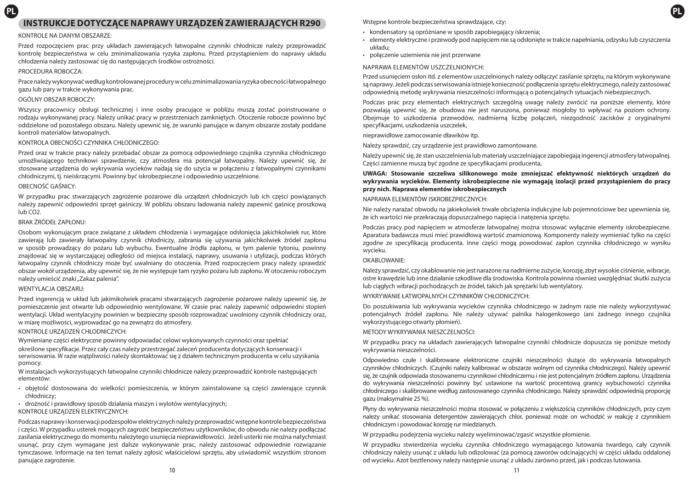# **PL PL INSTRUKCJE DOTYCZĄCE NAPRAWY URZĄDZEŃ ZAWIERAJĄCYCH R290**

### KONTROLE NA DANYM OBSZARZE:

Przed rozpoczęciem prac przy układach zawierających łatwopalne czynniki chłodnicze należy przeprowadzić kontrolę bezpieczeństwa w celu zminimalizowania ryzyka zapłonu. Przed przystąpieniem do naprawy układu chłodzenia należy zastosować się do następujących środków ostrożności.

### PROCEDURA ROBOCZA:

Prace należy wykonywać według kontrolowanej procedury w celu zminimalizowania ryzyka obecności łatwopalnego gazu lub pary w trakcie wykonywania prac.

# OGÓLNY OBSZAR ROBOCZY:

Wszyscy pracownicy obsługi technicznej i inne osoby pracujące w pobliżu muszą zostać poinstruowane o rodzaju wykonywanej pracy. Należy unikać pracy w przestrzeniach zamkniętych. Otoczenie robocze powinno być oddzielone od pozostałego obszaru. Należy upewnić się, że warunki panujące w danym obszarze zostały poddane kontroli materiałów łatwopalnych.

### KONTROLA OBECNOŚCI CZYNNIKA CHŁODNICZEGO:

Przed oraz w trakcie pracy należy przebadać obszar za pomocą odpowiedniego czujnika czynnika chłodniczego umożliwiającego technikowi sprawdzenie, czy atmosfera ma potencjał łatwopalny. Należy upewnić się, że stosowane urządzenia do wykrywania wycieków nadają się do użycia w połączeniu z łatwopalnymi czynnikami chłodniczymi, tj. nieiskrzącymi. Powinny być iskrobezpieczne i odpowiednio uszczelnione.

### OBECNOŚĆ GAŚNICY:

W przypadku prac stwarzających zagrożenie pożarowe dla urządzeń chłodniczych lub ich części powiązanych należy zapewnić odpowiedni sprzęt gaśniczy. W pobliżu obszaru ładowania należy zapewnić gaśnicę proszkową lub CO2.

# BRAK ŹRÓDEŁ ZAPŁONU:

Osobom wykonującym prace związane z układem chłodzenia i wymagające odsłonięcia jakichkolwiek rur, które zawierają lub zawierały łatwopalny czynnik chłodniczy, zabrania się używania jakichkolwiek źródeł zapłonu w sposób prowadzący do pożaru lub wybuchu. Ewentualne źródła zapłonu, w tym palenie tytoniu, powinny znajdować się w wystarczającej odległości od miejsca instalacji, naprawy, usuwania i utylizacji, podczas których łatwopalny czynnik chłodniczy może być uwalniany do otoczenia. Przed rozpoczęciem pracy należy sprawdzić obszar wokół urządzenia, aby upewnić się, że nie występuje tam ryzyko pożaru lub zapłonu. W otoczeniu roboczym należy umieścić znaki "Zakaz palenia".

### WENTYLACJA OBSZARU:

Przed ingerencją w układ lub jakimikolwiek pracami stwarzających zagrożenie pożarowe należy upewnić się, że pomieszczenie jest otwarte lub odpowiednio wentylowane. W czasie prac należy zapewnić odpowiedni stopień wentylacji. Układ wentylacyjny powinien w bezpieczny sposób rozprowadzać uwolniony czynnik chłodniczy oraz, w miarę możliwości, wyprowadzać go na zewnątrz do atmosfery.

### KONTROLE URZĄDZEŃ CHŁODNICZYCH:

Wymieniane części elektryczne powinny odpowiadać celowi wykonywanych czynności oraz spełniać określone specyfikacje. Przez cały czas należy przestrzegać zaleceń producenta dotyczących konserwacji i serwisowania. W razie watpliwości należy skontaktować się z działem technicznym producenta w celu uzyskania pomocy.

W instalacjach wykorzystujących łatwopalne czynniki chłodnicze należy przeprowadzić kontrole następujących elementów:

- objętość dostosowana do wielkości pomieszczenia, w którym zainstalowane są części zawierające czynnik chłodniczy;
- drożność i prawidłowy sposób działania maszyn i wylotów wentylacyjnych;

### KONTROLE URZĄDZEŃ ELEKTRYCZNYCH:

Podczas naprawy i konserwacji podzespołów elektrycznych należy przeprowadzić wstępne kontrole bezpieczeństwa i części. W przypadku usterek mogących zagrozić bezpieczeństwu użytkowników, do obwodu nie należy podłączać zasilania elektrycznego do momentu należytego usunięcia nieprawidłowości. Jeżeli usterki nie można natychmiast usunąć, przy czym wymagane jest dalsze wykonywanie prac, należy zastosować odpowiednie rozwiązanie tymczasowe. Informacje na ten temat należy zgłosić właścicielowi sprzętu, aby uświadomić wszystkim stronom panujące zagrożenie.

Wstępne kontrole bezpieczeństwa sprawdzające, czy:

- kondensatory są opróżniane w sposób zapobiegający iskrzenia;
- elementy elektryczne i przewody pod napięciem nie są odsłonięte w trakcie napełniania, odzysku lub czyszczenia układu;
- połączenie uziemienia nie jest przerwane

### NAPRAWA ELEMENTÓW USZCZELNIONYCH:

Przed usunięciem osłon itd. z elementów uszczelnionych należy odłączyć zasilanie sprzętu, na którym wykonywane są naprawy. Jeżeli podczas serwisowania istnieje konieczność podłączenia sprzętu elektrycznego, należy zastosować odpowiednią metodę wykrywania nieszczelności informującą o potencjalnych sytuacjach niebezpiecznych.

Podczas prac przy elementach elektrycznych szczególną uwagę należy zwrócić na poniższe elementy, które pozwalają upewnić się, że obudowa nie jest naruszona, ponieważ mogłoby to wpływać na poziom ochrony. Obejmuje to uszkodzenia przewodów, nadmierną liczbę połączeń, niezgodność zacisków z oryginalnymi specyfikacjami, uszkodzenia uszczelek,

nieprawidłowe zamocowanie dławików itp.

Należy sprawdzić, czy urządzenie jest prawidłowo zamontowane.

Należy upewnić się, że stan uszczelnienia lub materiały uszczelniające zapobiegają ingerencji atmosfery łatwopalnej. Części zamienne muszą być zgodne ze specyfikacjami producenta,

### **UWAGA: Stosowanie szczeliwa silikonowego może zmniejszać efektywność niektórych urządzeń do wykrywania wycieków. Elementy iskrobezpieczne nie wymagają izolacji przed przystąpieniem do pracy przy nich. Naprawa elementów iskrobezpiecznych**

# NAPRAWA ELEMENTÓW ISKROBEZPIECZNYCH:

Nie należy narażać obwodu na jakiekolwiek trwałe obciążenia indukcyjne lub pojemnościowe bez upewnienia się, że ich wartości nie przekraczają dopuszczalnego napięcia i natężenia sprzętu.

Podczas pracy pod napięciem w atmosferze łatwopalnej można stosować wyłącznie elementy iskrobezpieczne. Aparatura badawcza musi mieć prawidłową wartość znamionową. Komponenty należy wymieniać tylko na części zgodne ze specyfikacją producenta. Inne części mogą powodować zapłon czynnika chłodniczego w wyniku wycieku.

### OKABLOWANIE:

Należy sprawdzić, czy okablowanie nie jest narażone na nadmierne zużycie, korozję, zbyt wysokie ciśnienie, wibracje, ostre krawędzie lub inne działanie szkodliwe dla środowiska. Kontrola powinna również uwzględniać skutki zużycia lub ciągłych wibracji pochodzących ze źródeł, takich jak sprężarki lub wentylatory.

WYKRYWANIE ŁATWOPAI NYCH CZYNNIKÓW CHŁODNICZYCH:

Do poszukiwania lub wykrywania wycieków czynnika chłodniczego w żadnym razie nie należy wykorzystywać potencjalnych źródeł zapłonu. Nie należy używać palnika halogenkowego (ani żadnego innego czujnika wykorzystującego otwarty płomień).

### METODY WYKRYWANIA NIESZCZELNOŚCI:

W przypadku pracy na układach zawierających łatwopalne czynniki chłodnicze dopuszcza się poniższe metody wykrywania nieszczelności.

Odpowiednio czułe i skalibrowane elektroniczne czujniki nieszczelności służące do wykrywania łatwopalnych czynników chłodniczych. (Czujniki należy kalibrować w obszarze wolnym od czynnika chłodniczego). Należy upewnić się, że czujnik odpowiada stosowanemu czynnikowi chłodniczemu i nie jest potencjalnym źródłem zapłonu. Urządzenia do wykrywania nieszczelności powinny być ustawione na wartość procentową granicy wybuchowości czynnika chłodniczego i skalibrowane według zastosowanego czynnika chłodniczego. Należy sprawdzić odpowiednią proporcję gazu (maksymalnie 25 %).

Płyny do wykrywania nieszczelności można stosować w połączeniu z większością czynników chłodniczych, przy czym należy unikać stosowania detergentów zawierających chlor, ponieważ może on wchodzić w reakcję z czynnikiem chłodniczym i powodować korozję rur miedzianych.

W przypadku podejrzenia wycieku należy wyeliminować/zgasić wszystkie płomienie.

W przypadku stwierdzenia wycieku czynnika chłodniczego wymagającego lutowania twardego, cały czynnik chłodniczy należy usunąć z układu lub odizolować (za pomocą zaworów odcinających) w części układu oddalonej od wycieku. Azot beztlenowy należy następnie usunąć z układu zarówno przed, jak i podczas lutowania.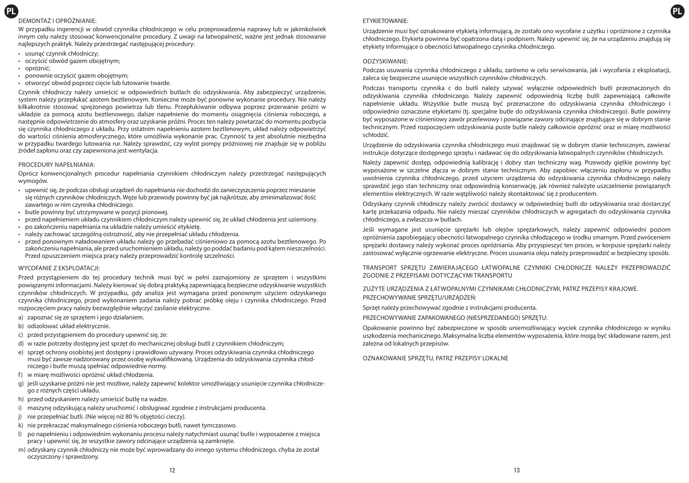# **PL PL** DEMONTAŻ I OPRÓŻNIANIE:

W przypadku ingerencji w obwód czynnika chłodniczego w celu przeprowadzenia naprawy lub w jakimkolwiek innym celu należy stosować konwencjonalne procedury. Z uwagi na łatwopalność, ważne jest jednak stosowanie najlepszych praktyk. Należy przestrzegać następującej procedury:

- usunąć czynnik chłodniczy;
- oczyścić obwód gazem obojętnym;
- opróżnić;
- ponownie oczyścić gazem obojętnym;
- otworzyć obwód poprzez cięcie lub lutowanie twarde.

Czynnik chłodniczy należy umieścić w odpowiednich butlach do odzyskiwania. Aby zabezpieczyć urządzenie, system należy przepłukać azotem beztlenowym. Konieczne może być ponowne wykonanie procedury. Nie należy kilkakrotnie stosować sprężonego powietrza lub tlenu. Przepłukiwanie odbywa poprzez przerwanie próżni w układzie za pomocą azotu beztlenowego, dalsze napełnienie do momentu osiągnięcia ciśnienia roboczego, a następnie odpowietrzenie do atmosfery oraz uzyskanie próżni. Proces ten należy powtarzać do momentu pozbycia się czynnika chłodniczego z układu. Przy ostatnim napełnieniu azotem beztlenowym, układ należy odpowietrzyć do wartości ciśnienia atmosferycznego, które umożliwia wykonanie prac. Czynność ta jest absolutnie niezbędna w przypadku twardego lutowania rur. Należy sprawdzić, czy wylot pompy próżniowej nie znajduje się w pobliżu źródeł zapłonu oraz czy zapewniona jest wentylacja.

### PROCEDURY NAPEŁNIANIA:

Oprócz konwencjonalnych procedur napełniania czynnikiem chłodniczym należy przestrzegać następujących wymogów.

- upewnić się, że podczas obsługi urządzeń do napełniania nie dochodzi do zanieczyszczenia poprzez mieszanie się różnych czynników chłodniczych. Węże lub przewody powinny być jak najkrótsze, aby zminimalizować ilość zawartego w nim czynnika chłodniczego.
- butle powinny być utrzymywane w pozycji pionowej.
- przed napełnieniem układu czynnikiem chłodniczym należy upewnić się, że układ chłodzenia jest uziemiony.
- po zakończeniu napełniania na układzie należy umieścić etykietę.
- należy zachować szczególną ostrożność, aby nie przepełniać układu chłodzenia.
- przed ponownym naładowaniem układu należy go przebadać ciśnieniowo za pomocą azotu beztlenowego. Po zakończeniu napełniania, ale przed uruchomieniem układu, należy go poddać badaniu pod kątem nieszczelności. Przed opuszczeniem miejsca pracy należy przeprowadzić kontrolę szczelności.

### WYCOFANIE Z EKSPLOATACJI:

Przed przystąpieniem do tej procedury technik musi być w pełni zaznajomiony ze sprzętem i wszystkimi powiązanymi informacjami. Należy kierować się dobrą praktyką zapewniającą bezpieczne odzyskiwanie wszystkich czynników chłodniczych. W przypadku, gdy analiza jest wymagana przed ponownym użyciem odzyskanego czynnika chłodniczego, przed wykonaniem zadania należy pobrać próbkę oleju i czynnika chłodniczego. Przed rozpoczęciem pracy należy bezwzględnie włączyć zasilanie elektryczne.

- a) zapoznać się ze sprzętem i jego działaniem.
- b) odizolować układ elektrycznie.
- c) przed przystąpieniem do procedury upewnić się, że:
- d) w razie potrzeby dostępny jest sprzęt do mechanicznej obsługi butli z czynnikiem chłodniczym;
- e) sprzęt ochrony osobistej jest dostępny i prawidłowo używany. Proces odzyskiwania czynnika chłodniczego musi być zawsze nadzorowany przez osobę wykwalifikowaną. Urządzenia do odzyskiwania czynnika chłodniczego i butle muszą spełniać odpowiednie normy.
- f) w miarę możliwości opróżnić układ chłodzenia.
- g) jeśli uzyskanie próżni nie jest możliwe, należy zapewnić kolektor umożliwiający usunięcie czynnika chłodniczego z różnych części układu.
- h) przed odzyskaniem należy umieścić butlę na wadze.
- i) maszynę odzyskującą należy uruchomić i obsługiwać zgodnie z instrukcjami producenta.
- j) nie przepełniać butli. (Nie więcej niż 80 % objętości cieczy).
- k) nie przekraczać maksymalnego ciśnienia roboczego butli, nawet tymczasowo.
- l) po napełnieniu i odpowiednim wykonaniu procesu należy natychmiast usunąć butle i wyposażenie z miejsca pracy i upewnić się, że wszystkie zawory odcinające urządzenia są zamknięte.
- m) odzyskany czynnik chłodniczy nie może być wprowadzany do innego systemu chłodniczego, chyba że został oczyszczony i sprawdzony.

# ETYKIETOWANIE:

Urządzenie musi być oznakowane etykietą informującą, że zostało ono wycofane z użytku i opróżnione z czynnika chłodniczego. Etykieta powinna być opatrzona datą i podpisem. Należy upewnić się, że na urządzeniu znajdują się etykiety informujące o obecności łatwopalnego czynnika chłodniczego.

### ODZYSKIWANIE:

Podczas usuwania czynnika chłodniczego z układu, zarówno w celu serwisowania, jak i wycofania z eksploatacji, zaleca się bezpieczne usunięcie wszystkich czynników chłodniczych.

Podczas transportu czynnika c do butli należy używać wyłącznie odpowiednich butli przeznaczonych do odzyskiwania czynnika chłodniczego. Należy zapewnić odpowiednią liczbę butli zapewniającą całkowite napełnienie układu. Wszystkie butle muszą być przeznaczone do odzyskiwania czynnika chłodniczego i odpowiednio oznaczone etykietami (tj. specjalne butle do odzyskiwania czynnika chłodniczego). Butle powinny być wyposażone w ciśnieniowy zawór przelewowy i powiązane zawory odcinające znajdujące się w dobrym stanie technicznym. Przed rozpoczęciem odzyskiwania puste butle należy całkowicie opróżnić oraz w miarę możliwości schłodzić.

Urządzenie do odzyskiwania czynnika chłodniczego musi znajdować się w dobrym stanie technicznym, zawierać instrukcje dotyczące dostępnego sprzętu i nadawać się do odzyskiwania łatwopalnych czynników chłodniczych.

Należy zapewnić dostęp, odpowiednią kalibrację i dobry stan techniczny wag. Przewody gietkie powinny być wyposażone w szczelne złącza w dobrym stanie technicznym. Aby zapobiec włączeniu zapłonu w przypadku uwolnienia czynnika chłodniczego, przed użyciem urządzenia do odzyskiwania czynnika chłodniczego należy sprawdzić jego stan techniczny oraz odpowiednią konserwację, jak również należyte uszczelnienie powiązanych elementów elektrycznych. W razie wątpliwości należy skontaktować się z producentem.

Odzyskany czynnik chłodniczy należy zwrócić dostawcy w odpowiedniej butli do odzyskiwania oraz dostarczyć kartę przekazania odpadu. Nie należy mieszać czynników chłodniczych w agregatach do odzyskiwania czynnika chłodniczego, a zwłaszcza w butlach.

Jeśli wymagane jest usunięcie sprężarki lub olejów sprężarkowych, należy zapewnić odpowiedni poziom opróżnienia zapobiegający obecności łatwopalnego czynnika chłodzącego w środku smarnym. Przed zwróceniem sprężarki dostawcy należy wykonać proces opróżniania. Aby przyspieszyć ten proces, w korpusie sprężarki należy zastosować wyłącznie ogrzewanie elektryczne. Proces usuwania oleju należy przeprowadzić w bezpieczny sposób.

TRANSPORT SPRZĘTU ZAWIERAJĄCEGO ŁATWOPALNE CZYNNIKI CHŁODNICZE NALEŻY PRZEPROWADZIĆ ZGODNIE Z PRZEPISAMI DOTYCZĄCYMI TRANSPORTU

# ZUŻYTE URZĄDZENIA Z ŁATWOPALNYMI CZYNNIKAMI CHŁODNICZYMI, PATRZ PRZEPISY KRAJOWE. PRZECHOWYWANIE SPRZETU/URZADZEŃ:

Sprzęt należy przechowywać zgodnie z instrukcjami producenta.

PRZECHOWYWANIE ZAPAKOWANEGO (NIESPRZEDANEGO) SPRZĘTU:

Opakowanie powinno być zabezpieczone w sposób uniemożliwiający wyciek czynnika chłodniczego w wyniku uszkodzenia mechanicznego. Maksymalna liczba elementów wyposażenia, które mogą być składowane razem, jest zależna od lokalnych przepisów.

OZNAKOWANIE SPRZĘTU, PATRZ PRZEPISY LOKALNE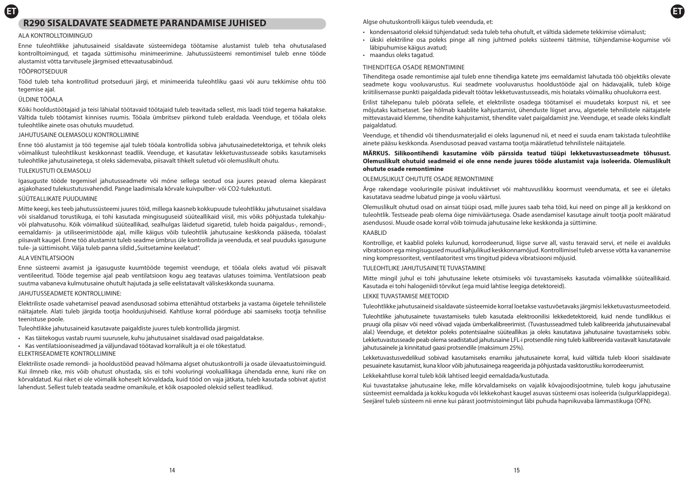# **ET ET R290 SISALDAVATE SEADMETE PARANDAMISE JUHISED**

### ALA KONTROLLTOIMINGUD

Enne tuleohtlikke jahutusaineid sisaldavate süsteemidega töötamise alustamist tuleb teha ohutusalased kontrolltoimingud, et tagada süttimisohu minimeerimine. Jahutussüsteemi remontimisel tuleb enne tööde alustamist võtta tarvitusele järgmised ettevaatusabinõud.

### TÖÖPROTSEDUUR

Tööd tuleb teha kontrollitud protseduuri järgi, et minimeerida tuleohtliku gaasi või auru tekkimise ohtu töö tegemise ajal.

### ÜLDINE TÖÖALA

Kõiki hooldustöötajaid ja teisi lähialal töötavaid töötajaid tuleb teavitada sellest, mis laadi töid tegema hakatakse. Vältida tuleb töötamist kinnises ruumis. Tööala ümbritsev piirkond tuleb eraldada. Veenduge, et tööala oleks tuleohtlike ainete osas ohutuks muudetud.

### JAHUTUSAINE OLEMASOLU KONTROLLIMINE

Enne töö alustamist ja töö tegemise ajal tuleb tööala kontrollida sobiva jahutusainedetektoriga, et tehnik oleks võimalikust tuleohtlikust keskkonnast teadlik. Veenduge, et kasutatav lekketuvastusseade sobiks kasutamiseks tuleohtlike jahutusainetega, st oleks sädemevaba, piisavalt tihkelt suletud või olemuslikult ohutu.

### TULEKUSTUTI OLEMASOLU

Igasuguste tööde tegemisel jahutusseadmete või mõne sellega seotud osa juures peavad olema käepärast asjakohased tulekustutusvahendid. Pange laadimisala kõrvale kuivpulber- või CO2-tulekustuti.

### SÜÜTEALLIKATE PUUDUMINE

Mitte keegi, kes teeb jahutussüsteemi juures töid, millega kaasneb kokkupuude tuleohtlikku jahutusainet sisaldava või sisaldanud torustikuga, ei tohi kasutada mingisuguseid süüteallikaid viisil, mis võiks põhjustada tulekahjuvõi plahvatusohu. Kõik võimalikud süüteallikad, sealhulgas läidetud sigaretid, tuleb hoida paigaldus-, remondi-, eemaldamis- ja utiliseerimistööde ajal, mille käigus võib tuleohtlik jahutusaine keskkonda pääseda, tööalast piisavalt kaugel. Enne töö alustamist tuleb seadme ümbrus üle kontrollida ja veenduda, et seal puuduks igasugune tule- ja süttimisoht. Välja tuleb panna sildid "Suitsetamine keelatud".

### ALA VENTILATSIOON

Enne süsteemi avamist ja igasuguste kuumtööde tegemist veenduge, et tööala oleks avatud või piisavalt ventileeritud. Tööde tegemise ajal peab ventilatsioon kogu aeg teatavas ulatuses toimima. Ventilatsioon peab suutma vabaneva kulmutusaine ohutult hajutada ja selle eelistatavalt väliskeskkonda suunama.

### JAHUTUSSEADMETE KONTROLLIMINE:

Elektriliste osade vahetamisel peavad asendusosad sobima ettenähtud otstarbeks ja vastama õigetele tehnilistele näitajatele. Alati tuleb järgida tootja hooldusjuhiseid. Kahtluse korral pöörduge abi saamiseks tootja tehnilise teenistuse poole.

Tuleohtlikke jahutusaineid kasutavate paigaldiste juures tuleb kontrollida järgmist.

- Kas täitekogus vastab ruumi suurusele, kuhu jahutusainet sisaldavad osad paigaldatakse.
- Kas ventilatsiooniseadmed ja väljundavad töötavad korralikult ja ei ole tõkestatud. ELEKTRISEADMETE KONTROLLIMINE

Elektriliste osade remondi- ja hooldustööd peavad hõlmama algset ohutuskontrolli ja osade ülevaatustoiminguid. Kui ilmneb rike, mis võib ohutust ohustada, siis ei tohi vooluringi vooluallikaga ühendada enne, kuni rike on kõrvaldatud. Kui riket ei ole võimalik koheselt kõrvaldada, kuid tööd on vaja jätkata, tuleb kasutada sobivat ajutist lahendust. Sellest tuleb teatada seadme omanikule, et kõik osapooled oleksid sellest teadlikud.

Algse ohutuskontrolli käigus tuleb veenduda, et:

- kondensaatorid oleksid tühjendatud: seda tuleb teha ohutult, et vältida sädemete tekkimise võimalust;
- ükski elektriline osa poleks pinge all ning juhtmed poleks süsteemi täitmise, tühjendamise-kogumise või läbipuhumise käigus avatud;
- maandus oleks tagatud.

### TIHENDITEGA OSADE REMONTIMINE

Tihenditega osade remontimise ajal tuleb enne tihendiga katete jms eemaldamist lahutada töö objektiks olevate seadmete kogu vooluvarustus. Kui seadmete vooluvarustus hooldustööde ajal on hädavajalik, tuleb kõige kriitilisemasse punkti paigaldada pidevalt töötav lekketuvastusseadis, mis hoiataks võimaliku ohuolukorra eest.

Erilist tähelepanu tuleb pöörata sellele, et elektriliste osadega töötamisel ei muudetaks korpust nii, et see mõjutaks kaitsetaset. See hõlmab kaablite kahjustamist, ühenduste liigset arvu, algsetele tehnilistele näitajatele mittevastavaid klemme, tihendite kahjustamist, tihendite valet paigaldamist jne. Veenduge, et seade oleks kindlalt paigaldatud.

Veenduge, et tihendid või tihendusmaterjalid ei oleks lagunenud nii, et need ei suuda enam takistada tuleohtlike ainete pääsu keskkonda. Asendusosad peavad vastama tootja määratletud tehnilistele näitajatele.

### **MÄRKUS. Silikoontihendi kasutamine võib pärssida teatud tüüpi lekketuvastusseadmete tõhusust. Olemuslikult ohutuid seadmeid ei ole enne nende juures tööde alustamist vaja isoleerida. Olemuslikult ohutute osade remontimine**

### OLEMUSLIKULT OHUTUTE OSADE REMONTIMINE

Ärge rakendage vooluringile püsivat induktiivset või mahtuvuslikku koormust veendumata, et see ei ületaks kasutatava seadme lubatud pinge ja voolu väärtusi.

Olemuslikult ohutud osad on ainsat tüüpi osad, mille juures saab teha töid, kui need on pinge all ja keskkond on tuleohtlik. Testseade peab olema õige nimiväärtusega. Osade asendamisel kasutage ainult tootja poolt määratud asendusosi. Muude osade korral võib toimuda jahutusaine leke keskkonda ja süttimine.

### KAABLID

Kontrollige, et kaablid poleks kulunud, korrodeerunud, liigse surve all, vastu teravaid servi, et neile ei avalduks vibratsioon ega mingisugused muud kahjulikud keskkonnamõjud. Kontrollimisel tuleb arvesse võtta ka vananemise ning kompressoritest, ventilaatoritest vms tingitud pideva vibratsiooni mõjusid.

### TUI FOHTLIKE JAHUTUSAINETE TUVASTAMINE

Mitte mingil juhul ei tohi jahutusaine lekete otsimiseks või tuvastamiseks kasutada võimalikke süüteallikaid. Kasutada ei tohi halogeniidi tõrvikut (ega muid lahtise leegiga detektoreid).

### LEKKE TUVASTAMISE MEETODID

Tuleohtlikke jahutusaineid sisaldavate süsteemide korral loetakse vastuvõetavaks järgmisi lekketuvastusmeetodeid.

Tuleohtlike jahutusainete tuvastamiseks tuleb kasutada elektroonilisi lekkedetektoreid, kuid nende tundlikkus ei pruugi olla piisav või need võivad vajada ümberkalibreerimist. (Tuvastusseadmed tuleb kalibreerida jahutusainevabal alal.) Veenduge, et detektor poleks potentsiaalne süüteallikas ja oleks kasutatava jahutusaine tuvastamiseks sobiv. Lekketuvastusseade peab olema seadistatud jahutusaine LFL-i protsendile ning tuleb kalibreerida vastavalt kasutatavale jahutusainele ja kinnitatud gaasi protsendile (maksimum 25%).

Lekketuvastusvedelikud sobivad kasutamiseks enamiku jahutusainete korral, kuid vältida tuleb kloori sisaldavate pesuainete kasutamist, kuna kloor võib jahutusainega reageerida ja põhjustada vasktorustiku korrodeerumist.

### Lekkekahtluse korral tuleb kõik lahtised leegid eemaldada/kustutada.

Kui tuvastatakse jahutusaine leke, mille kõrvaldamiseks on vajalik kõvajoodisjootmine, tuleb kogu jahutusaine süsteemist eemaldada ja kokku koguda või lekkekohast kaugel asuvas süsteemi osas isoleerida (sulgurklappidega). Seejärel tuleb süsteem nii enne kui pärast jootmistoimingut läbi puhuda hapnikuvaba lämmastikuga (OFN).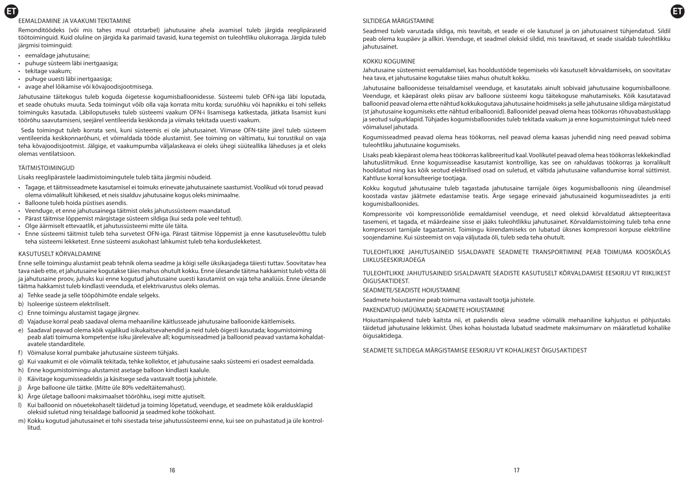# **ET ET** EEMALDAMINE JA VAAKUMI TEKITAMINE

Remonditöödeks (või mis tahes muul otstarbel) jahutusaine ahela avamisel tuleb järgida reeglipäraseid töötoiminguid. Kuid oluline on järgida ka parimaid tavasid, kuna tegemist on tuleohtliku olukorraga. Järgida tuleb järgmisi toiminguid:

- eemaldage jahutusaine;
- puhuge süsteem läbi inertgaasiga;
- tekitage vaakum;
- puhuge uuesti läbi inertgaasiga;
- avage ahel lõikamise või kõvajoodisjootmisega.

Jahutusaine täitekogus tuleb koguda õigetesse kogumisballoonidesse. Süsteemi tuleb OFN-iga läbi loputada, et seade ohutuks muuta. Seda toimingut võib olla vaja korrata mitu korda; suruõhku või hapnikku ei tohi selleks toiminguks kasutada. Läbiloputuseks tuleb süsteemi vaakum OFN-i lisamisega katkestada, jätkata lisamist kuni töörõhu saavutamiseni, seejärel ventileerida keskkonda ja viimaks tekitada uuesti vaakum.

 Seda toimingut tuleb korrata seni, kuni süsteemis ei ole jahutusainet. Viimase OFN-täite järel tuleb süsteem ventileerida keskkonnarõhuni, et võimaldada tööde alustamist. See toiming on vältimatu, kui torustikul on vaja teha kõvajoodisjootmist. Jälgige, et vaakumpumba väljalaskeava ei oleks ühegi süüteallika läheduses ja et oleks olemas ventilatsioon.

# TÄITMISTOIMINGUD

Lisaks reeglipärastele laadimistoimingutele tuleb täita järgmisi nõudeid.

- Tagage, et täitmisseadmete kasutamisel ei toimuks erinevate jahutusainete saastumist. Voolikud või torud peavad olema võimalikult lühikesed, et neis sisalduv jahutusaine kogus oleks minimaalne.
- Balloone tuleb hoida püstises asendis.
- Veenduge, et enne jahutusainega täitmist oleks jahutussüsteem maandatud.
- Pärast täitmise lõppemist märgistage süsteem sildiga (kui seda pole veel tehtud).
- Olge äärmiselt ettevaatlik, et jahutussüsteemi mitte üle täita.
- Enne süsteemi täitmist tuleb teha survetest OFN-iga. Pärast täitmise lõppemist ja enne kasutuselevõttu tuleb teha süsteemi lekketest. Enne süsteemi asukohast lahkumist tuleb teha korduslekketest.

### KASUTUSELT KÕRVALDAMINE

Enne selle toimingu alustamist peab tehnik olema seadme ja kõigi selle üksikasjadega täiesti tuttav. Soovitatav hea tava näeb ette, et jahutusaine kogutakse täies mahus ohutult kokku. Enne ülesande täitma hakkamist tuleb võtta õli ja jahutusaine proov, juhuks kui enne kogutud jahutusaine uuesti kasutamist on vaja teha analüüs. Enne ülesande täitma hakkamist tuleb kindlasti veenduda, et elektrivarustus oleks olemas.

- a) Tehke seade ja selle tööpõhimõte endale selgeks.
- b) Isoleerige süsteem elektriliselt.
- c) Enne toimingu alustamist tagage järgnev.
- d) Vajaduse korral peab saadaval olema mehaaniline käitlusseade jahutusaine balloonide käitlemiseks.
- e) Saadaval peavad olema kõik vajalikud isikukaitsevahendid ja neid tuleb õigesti kasutada; kogumistoiming peab alati toimuma kompetentse isiku järelevalve all; kogumisseadmed ja balloonid peavad vastama kohaldatavatele standarditele.
- f) Võimaluse korral pumbake jahutusaine süsteem tühjaks.
- g) Kui vaakumit ei ole võimalik tekitada, tehke kollektor, et jahutusaine saaks süsteemi eri osadest eemaldada.
- h) Enne kogumistoimingu alustamist asetage balloon kindlasti kaalule.
- i) Käivitage kogumisseadeldis ja käsitsege seda vastavalt tootja juhistele.
- j) Ärge balloone üle täitke. (Mitte üle 80% vedeltäitemahust).
- k) Ärge ületage ballooni maksimaalset töörõhku, isegi mitte ajutiselt.
- l) Kui balloonid on nõuetekohaselt täidetud ja toiming lõpetatud, veenduge, et seadmete kõik eraldusklapid oleksid suletud ning teisaldage balloonid ja seadmed kohe töökohast.
- m) Kokku kogutud jahutusainet ei tohi sisestada teise jahutussüsteemi enne, kui see on puhastatud ja üle kontrollitud.

# SILTIDEGA MÄRGISTAMINE

Seadmed tuleb varustada sildiga, mis teavitab, et seade ei ole kasutusel ja on jahutusainest tühjendatud. Sildil peab olema kuupäev ja allkiri. Veenduge, et seadmel oleksid sildid, mis teavitavad, et seade sisaldab tuleohtlikku jahutusainet.

### KOKKU KOGUMINE

Jahutusaine süsteemist eemaldamisel, kas hooldustööde tegemiseks või kasutuselt kõrvaldamiseks, on soovitatav hea tava, et jahutusaine kogutakse täies mahus ohutult kokku.

Jahutusaine balloonidesse teisaldamisel veenduge, et kasutataks ainult sobivaid jahutusaine kogumisballoone. Veenduge, et käepärast oleks piisav arv balloone süsteemi kogu täitekoguse mahutamiseks. Kõik kasutatavad balloonid peavad olema ette nähtud kokkukogutava jahutusaine hoidmiseks ja selle jahutusaine sildiga märgistatud (st jahutusaine kogumiseks ette nähtud eriballoonid). Balloonidel peavad olema heas töökorras rõhuvabastusklapp ja seotud sulgurklapid. Tühjades kogumisballoonides tuleb tekitada vaakum ja enne kogumistoimingut tuleb need võimalusel jahutada.

Kogumisseadmed peavad olema heas töökorras, neil peavad olema kaasas juhendid ning need peavad sobima tuleohtliku jahutusaine kogumiseks.

Lisaks peab käepärast olema heas töökorras kalibreeritud kaal. Voolikutel peavad olema heas töökorras lekkekindlad lahutusliitmikud. Enne kogumisseadise kasutamist kontrollige, kas see on rahuldavas töökorras ja korralikult hooldatud ning kas kõik seotud elektrilised osad on suletud, et vältida jahutusaine vallandumise korral süttimist. Kahtluse korral konsulteerige tootjaga.

Kokku kogutud jahutusaine tuleb tagastada jahutusaine tarnijale õiges kogumisballoonis ning üleandmisel koostada vastav jäätmete edastamise teatis. Ärge segage erinevaid jahutusaineid kogumisseadistes ja eriti kogumisballoonides.

Kompressorite või kompressoriõlide eemaldamisel veenduge, et need oleksid kõrvaldatud aktsepteeritava tasemeni, et tagada, et määrdeaine sisse ei jääks tuleohtlikku jahutusainet. Kõrvaldamistoiming tuleb teha enne kompressori tarnijale tagastamist. Toimingu kiirendamiseks on lubatud üksnes kompressori korpuse elektriline soojendamine. Kui süsteemist on vaja väljutada õli, tuleb seda teha ohutult.

TULEOHTLIKKE JAHUTUSAINEID SISALDAVATE SEADMETE TRANSPORTIMINE PEAB TOIMUMA KOOSKÕLAS LIIKLUSEESKIRJADEGA

TULEOHTLIKKE JAHUTUSAINEID SISALDAVATE SEADISTE KASUTUSELT KÕRVALDAMISE EESKIRJU VT RIIKLIKEST ÕIGUSAKTIDEST.

SEADMETE/SEADISTE HOIUSTAMINE

Seadmete hoiustamine peab toimuma vastavalt tootja juhistele.

PAKENDATUD (MÜÜMATA) SEADMETE HOIUSTAMINE

Hoiustamispakend tuleb kaitsta nii, et pakendis oleva seadme võimalik mehaaniline kahjustus ei põhjustaks täidetud jahutusaine lekkimist. Ühes kohas hoiustada lubatud seadmete maksimumarv on määratletud kohalike õigusaktidega.

SEADMETE SILTIDEGA MÄRGISTAMISE EESKIRJU VT KOHALIKEST ÕIGUSAKTIDEST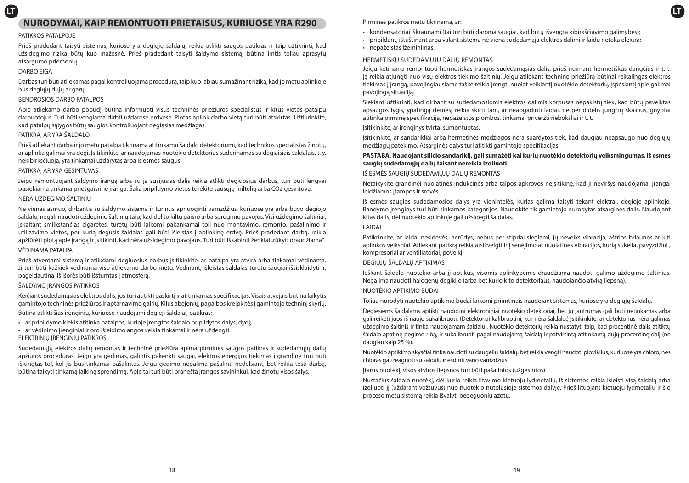# **LT LT NURODYMAI, KAIP REMONTUOTI PRIETAISUS, KURIUOSE YRA R290**

### PATIKROS PATALPOJE

Prieš pradedant taisyti sistemas, kuriose yra degiųjų šaldalų, reikia atlikti saugos patikras ir taip užtikrinti, kad užsidegimo rizika būtų kuo mažesnė. Prieš pradedant taisyti šaldymo sistemą, būtina imtis toliau aprašytų atsargumo priemonių.

### DARBO EIGA

Darbas turi būti atliekamas pagal kontroliuojamą procedūrą, taip kuo labiau sumažinant riziką, kad jo metu aplinkoje bus degiųjų dujų ar garų.

### BENDROSIOS DARBO PATALPOS

Apie atliekamo darbo pobūdį būtina informuoti visus techninės priežiūros specialistus ir kitus vietos patalpų darbuotojus. Turi būti vengiama dirbti uždarose erdvėse. Plotas aplink darbo vietą turi būti atskirtas. Užtikrinkite, kad patalpų sąlygos būtų saugios kontroliuojant degiąsias medžiagas.

### PATIKRA, AR YRA ŠALDALO

Prieš atliekant darbą ir jo metu patalpa tikrinama atitinkamu šaldalo detektoriumi, kad technikos specialistas žinotų, ar aplinka galimai yra degi. Įsitikinkite, ar naudojamas nuotėkio detektorius suderinamas su degiaisiais šaldalais, t. y. nekibirkščiuoja, yra tinkamai uždarytas arba iš esmės saugus.

### PATIKRA, AR YRA GESINTUVAS

Jeigu remontuojant šaldymo įrangą arba su ja susijusias dalis reikia atlikti degiuosius darbus, turi būti lengvai pasiekiama tinkama priešgaisrinė įranga. Šalia pripildymo vietos turėkite sausųjų miltelių arba CO2 gesintuvą.

# NĖRA UŽDEGIMO ŠALTINIŲ

Nė vienas asmuo, dirbantis su šaldymo sistema ir turintis apnuoginti vamzdžius, kuriuose yra arba buvo degiojo šaldalo, negali naudoti uždegimo šaltinių taip, kad dėl to kiltų gaisro arba sprogimo pavojus. Visi uždegimo šaltiniai, įskaitant smilkstančias cigaretes, turėtų būti laikomi pakankamai toli nuo montavimo, remonto, pašalinimo ir utilizavimo vietos, per kurią degusis šaldalas gali būti išleistas į aplinkinę erdvę. Prieš pradedant darbą, reikia apžiūrėti plotą apie įrangą ir įsitikinti, kad nėra užsidegimo pavojaus. Turi būti iškabinti ženklai "rūkyti draudžiama". VĖDINAMA PATALPA

Prieš atverdami sistemą ir atlikdami degiuosius darbus įsitikinkite, ar patalpa yra atvira arba tinkamai vėdinama. Ji turi būti kažkiek vėdinama viso atliekamo darbo metu. Vėdinant, išleistas šaldalas turėtų saugiai išsisklaidyti ir, pageidautina, iš išorės būti išstumtas į atmosferą.

### ŠALDYMO ĮRANGOS PATIKROS

Keičiant sudedamąsias elektros dalis, jos turi atitikti paskirtį ir atitinkamas specifikacijas. Visais atvejais būtina laikytis gamintojo techninės priežiūros ir aptarnavimo gairių. Kilus abejonių, pagalbos kreipkitės į gamintojo techninį skyrių.

Būtina atlikti šias įrenginių, kuriuose naudojami degieji šaldalai, patikras:

- ar pripildymo kiekis atitinka patalpos, kurioje įrengtos šaldalo pripildytos dalys, dydį;
- ar vėdinimo įrenginiai ir oro išleidimo angos veikia tinkamai ir nėra uždengti.
- ELEKTRINIŲ ĮRENGINIŲ PATIKROS

Sudedamųjų elektros dalių remontas ir techninė priežiūra apima pirmines saugos patikras ir sudedamųjų dalių apžiūros procedūras. Jeigu yra gedimas, galintis pakenkti saugai, elektros energijos tiekimas į grandinę turi būti išjungtas tol, kol jis bus tinkamai pašalintas. Jeigu gedimo negalima pašalinti nedelsiant, bet reikia tęsti darbą, būtina taikyti tinkamą laikiną sprendimą. Apie tai turi būti pranešta įrangos savininkui, kad žinotų visos šalys.

Pirminės patikros metu tikrinama, ar:

- kondensatoriai iškraunami (tai turi būti daroma saugiai, kad būtų išvengta kibirkščiavimo galimybės);
- pripildant, ištuštinant arba valant sistemą nė viena sudedamąja elektros dalimi ir laidu neteka elektra;
- nepažeistas įžeminimas.

# HERMETIŠKŲ SUDEDAMŲJŲ DALIŲ REMONTAS

Jeigu ketinama remontuoti hermetiškas įrangos sudedamąsias dalis, prieš nuimant hermetiškus dangčius ir t. t. ją reikia atjungti nuo visų elektros tiekimo šaltinių. Jeigu atliekant techninę priežiūrą būtinai reikalingas elektros tiekimas į įrangą, pavojingiausiame taške reikia įrengti nuolat veikiantį nuotėkio detektorių, įspėsiantį apie galimai pavojingą situaciją.

Siekiant užtikrinti, kad dirbant su sudedamosiomis elektros dalimis korpusas nepakistų tiek, kad būtų paveiktas apsaugos lygis, ypatingą dėmesį reikia skirti tam, ar neapgadinti laidai, ne per didelis jungčių skaičius, gnybtai atitinka pirminę specifikaciją, nepažeistos plombos, tinkamai priveržti riebokšliai ir t. t.

Įsitikinkite, ar įrenginys tvirtai sumontuotas.

Įsitikinkite, ar sandarikliai arba hermetinės medžiagos nėra suardytos tiek, kad daugiau neapsaugo nuo degiųjų medžiagų patekimo. Atsarginės dalys turi atitikti gamintojo specifikacijas.

# **PASTABA. Naudojant silicio sandariklį, gali sumažėti kai kurių nuotėkio detektorių veiksmingumas. Iš esmės saugių sudedamųjų dalių taisant nereikia izoliuoti.**

### IŠ ESMĖS SAUGIŲ SUDEDAMŲJŲ DALIŲ REMONTAS

Netaikykite grandinei nuolatinės indukcinės arba talpos apkrovos neįsitikinę, kad ji neviršys naudojamai įrangai leidžiamos įtampos ir srovės.

Iš esmės saugios sudedamosios dalys yra vienintelės, kurias galima taisyti tekant elektrai, degioje aplinkoje. Bandymo įrenginys turi būti tinkamos kategorijos. Naudokite tik gamintojo nurodytas atsargines dalis. Naudojant kitas dalis, dėl nuotėkio aplinkoje gali užsidegti šaldalas.

### LAIDAI

Patikrinkite, ar laidai nesidėvės, nerūdys, nebus per stipriai slegiami, jų neveiks vibracija, aštrios briaunos ar kiti aplinkos veiksniai. Atliekant patikrą reikia atsižvelgti ir į senėjimo ar nuolatinės vibracijos, kurią sukelia, pavyzdžiui , kompresoriai ar ventiliatoriai, poveikį.

# DEGIŲJŲ ŠALDALŲ APTIKIMAS

Ieškant šaldalo nuotėkio arba jį aptikus, visomis aplinkybėmis draudžiama naudoti galimo uždegimo šaltinius. Negalima naudoti halogenų degiklio (arba bet kurio kito detektoriaus, naudojančio atvirą liepsną).

# NUOTĖKIO APTIKIMO BŪDAI

Toliau nurodyti nuotėkio aptikimo būdai laikomi priimtinais naudojant sistemas, kuriose yra degiųjų šaldalų.

Degiesiems šaldalams aptikti naudotini elektroniniai nuotėkio detektoriai, bet jų jautrumas gali būti netinkamas arba gali reikėti juos iš naujo sukalibruoti. (Detektoriai kalibruotini, kur nėra šaldalo.) Įsitikinkite, ar detektorius nėra galimas uždegimo šaltinis ir tinka naudojamam šaldalui. Nuotėkio detektorių reikia nustatyti taip, kad procentinė dalis atitiktų šaldalo apatinę degimo ribą, ir sukalibruoti pagal naudojamą šaldalą ir patvirtintą atitinkamą dujų procentinę dalį (ne daugiau kaip 25 %).

Nuotėkio aptikimo skysčiai tinka naudoti su daugeliu šaldalų, bet reikia vengti naudoti ploviklius, kuriuose yra chloro, nes chloras gali reaguoti su šaldalu ir ėsdinti vario vamzdžius.

Įtarus nuotėkį, visos atviros liepsnos turi būti pašalintos (užgesintos).

Nustačius šaldalo nuotėkį, dėl kurio reikia litavimo kietuoju lydmetaliu, iš sistemos reikia išleisti visą šaldalą arba izoliuoti jį (uždarant vožtuvus) nuo nuotėkio nutolusioje sistemos dalyje. Prieš lituojant kietuoju lydmetaliu ir šio proceso metu sistemą reikia išvalyti bedeguoniu azotu.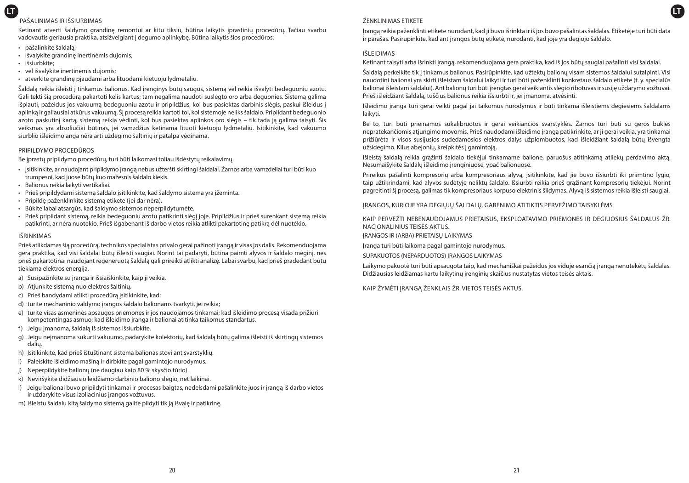# **LT LT** PAŠALINIMAS IR IŠSIURBIMAS

Ketinant atverti šaldymo grandinę remontui ar kitu tikslu, būtina laikytis įprastinių procedūrų. Tačiau svarbu vadovautis geriausia praktika, atsižvelgiant į degumo aplinkybę. Būtina laikytis šios procedūros:

- pašalinkite šaldalą;
- išvalykite grandinę inertinėmis dujomis;
- išsiurbkite;
- vėl išvalykite inertinėmis dujomis;
- atverkite grandinę pjaudami arba lituodami kietuoju lydmetaliu.

Šaldalą reikia išleisti į tinkamus balionus. Kad įrenginys būtų saugus, sistemą vėl reikia išvalyti bedeguoniu azotu. Gali tekti šią procedūrą pakartoti kelis kartus; tam negalima naudoti suslėgto oro arba deguonies. Sistemą galima išplauti, pažeidus jos vakuumą bedeguoniu azotu ir pripildžius, kol bus pasiektas darbinis slėgis, paskui išleidus į aplinką ir galiausiai atkūrus vakuumą. Šį procesą reikia kartoti tol, kol sistemoje neliks šaldalo. Pripildant bedeguonio azoto paskutinį kartą, sistemą reikia vėdinti, kol bus pasiektas aplinkos oro slėgis – tik tada ją galima taisyti. Šis veiksmas yra absoliučiai būtinas, jei vamzdžius ketinama lituoti kietuoju lydmetaliu. Įsitikinkite, kad vakuumo siurblio išleidimo anga nėra arti uždegimo šaltinių ir patalpa vėdinama.

# PRIPILDYMO PROCEDŪROS

Be įprastų pripildymo procedūrų, turi būti laikomasi toliau išdėstytų reikalavimų.

- Įsitikinkite, ar naudojant pripildymo įrangą nebus užteršti skirtingi šaldalai. Žarnos arba vamzdeliai turi būti kuo trumpesni, kad juose būtų kuo mažesnis šaldalo kiekis.
- Balionus reikia laikyti vertikaliai.
- Prieš pripildydami sistemą šaldalo įsitikinkite, kad šaldymo sistema yra įžeminta.
- Pripildę paženklinkite sistemą etikete (jei dar nėra).
- Būkite labai atsargūs, kad šaldymo sistemos neperpildytumėte.
- Prieš pripildant sistemą, reikia bedeguoniu azotu patikrinti slėgį joje. Pripildžius ir prieš surenkant sistemą reikia patikrinti, ar nėra nuotėkio. Prieš išgabenant iš darbo vietos reikia atlikti pakartotinę patikrą dėl nuotėkio.

### IŠRINKIMAS

Prieš atlikdamas šią procedūrą, technikos specialistas privalo gerai pažinoti įrangą ir visas jos dalis. Rekomenduojama gera praktika, kad visi šaldalai būtų išleisti saugiai. Norint tai padaryti, būtina paimti alyvos ir šaldalo mėginį, nes prieš pakartotinai naudojant regeneruotą šaldalą gali prireikti atlikti analizę. Labai svarbu, kad prieš pradedant būtų tiekiama elektros energija.

- a) Susipažinkite su įranga ir išsiaiškinkite, kaip ji veikia.
- b) Atjunkite sistemą nuo elektros šaltinių.
- c) Prieš bandydami atlikti procedūrą įsitikinkite, kad:
- d) turite mechaninio valdymo įrangos šaldalo balionams tvarkyti, jei reikia;
- e) turite visas asmeninės apsaugos priemones ir jos naudojamos tinkamai; kad išleidimo procesą visada prižiūri kompetentingas asmuo; kad išleidimo įranga ir balionai atitinka taikomus standartus.
- f) Jeigu įmanoma, šaldalą iš sistemos išsiurbkite.
- g) Jeigu neįmanoma sukurti vakuumo, padarykite kolektorių, kad šaldalą būtų galima išleisti iš skirtingų sistemos dalių.
- h) Įsitikinkite, kad prieš ištuštinant sistemą balionas stovi ant svarstyklių.
- i) Paleiskite išleidimo mašiną ir dirbkite pagal gamintojo nurodymus.
- j) Neperpildykite balionų (ne daugiau kaip 80 % skysčio tūrio).
- k) Neviršykite didžiausio leidžiamo darbinio baliono slėgio, net laikinai.
- l) Jeigu balionai buvo pripildyti tinkamai ir procesas baigtas, nedelsdami pašalinkite juos ir įrangą iš darbo vietos ir uždarykite visus izoliacinius įrangos vožtuvus.
- m) Išleistu šaldalu kitą šaldymo sistemą galite pildyti tik ją išvalę ir patikrinę.

# ŽENKLINIMAS ETIKETE

Įrangą reikia paženklinti etikete nurodant, kad ji buvo išrinkta ir iš jos buvo pašalintas šaldalas. Etiketėje turi būti data ir parašas. Pasirūpinkite, kad ant įrangos būtų etiketė, nurodanti, kad joje yra degiojo šaldalo.

### IŠLEIDIMAS

Ketinant taisyti arba išrinkti įrangą, rekomenduojama gera praktika, kad iš jos būtų saugiai pašalinti visi šaldalai.

Šaldalą perkelkite tik į tinkamus balionus. Pasirūpinkite, kad užtektų balionų visam sistemos šaldalui sutalpinti. Visi naudotini balionai yra skirti išleistam šaldalui laikyti ir turi būti paženklinti konkretaus šaldalo etikete (t. y. specialūs balionai išleistam šaldalui). Ant balionų turi būti įrengtas gerai veikiantis slėgio ribotuvas ir susiję uždarymo vožtuvai. Prieš išleidžiant šaldalą, tuščius balionus reikia išsiurbti ir, jei įmanoma, atvėsinti.

Išleidimo įranga turi gerai veikti pagal jai taikomus nurodymus ir būti tinkama išleistiems degiesiems šaldalams laikyti.

Be to, turi būti prieinamos sukalibruotos ir gerai veikiančios svarstyklės. Žarnos turi būti su geros būklės nepratekančiomis atjungimo movomis. Prieš naudodami išleidimo įrangą patikrinkite, ar ji gerai veikia, yra tinkamai prižiūrėta ir visos susijusios sudedamosios elektros dalys užplombuotos, kad išleidžiant šaldalą būtų išvengta užsidegimo. Kilus abejonių, kreipkitės į gamintoją.

Išleistą šaldalą reikia grąžinti šaldalo tiekėjui tinkamame balione, paruošus atitinkamą atliekų perdavimo aktą. Nesumaišykite šaldalų išleidimo įrenginiuose, ypač balionuose.

Prireikus pašalinti kompresorių arba kompresoriaus alyvą, įsitikinkite, kad jie buvo išsiurbti iki priimtino lygio, taip užtikrindami, kad alyvos sudėtyje neliktų šaldalo. Išsiurbti reikia prieš grąžinant kompresorių tiekėjui. Norint pagreitinti šį procesą, galimas tik kompresoriaus korpuso elektrinis šildymas. Alyvą iš sistemos reikia išleisti saugiai.

ĮRANGOS, KURIOJE YRA DEGIŲJŲ ŠALDALŲ, GABENIMO ATITIKTIS PERVEŽIMO TAISYKLĖMS

KAIP PERVEŽTI NEBENAUDOJAMUS PRIETAISUS, EKSPLOATAVIMO PRIEMONES IR DEGIUOSIUS ŠALDALUS ŽR. NACIONALINIUS TEISĖS AKTUS.

ĮRANGOS IR (ARBA) PRIETAISŲ LAIKYMAS

Įranga turi būti laikoma pagal gamintojo nurodymus.

SUPAKUOTOS (NEPARDUOTOS) ĮRANGOS LAIKYMAS

Laikymo pakuotė turi būti apsaugota taip, kad mechaniškai pažeidus jos viduje esančią įrangą nenutekėtų šaldalas. Didžiausias leidžiamas kartu laikytinų įrenginių skaičius nustatytas vietos teisės aktais.

KAIP ŽYMĖTI ĮRANGĄ ŽENKLAIS ŽR. VIETOS TEISĖS AKTUS.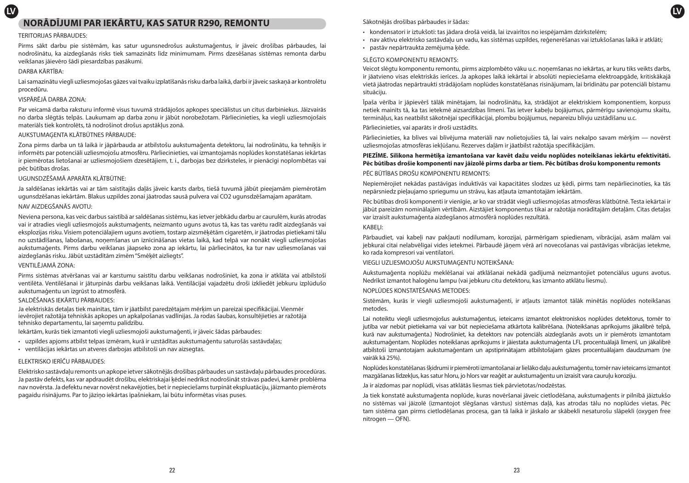# **LV LV NORĀDĪJUMI PAR IEKĀRTU, KAS SATUR R290, REMONTU**

### TERITORIJAS PĀRBAUDES:

Pirms sākt darbu pie sistēmām, kas satur ugunsnedrošus aukstumaģentus, ir jāveic drošības pārbaudes, lai nodrošinātu, ka aizdegšanās risks tiek samazināts līdz minimumam. Pirms dzesēšanas sistēmas remonta darbu veikšanas jāievēro šādi piesardzības pasākumi.

### DARBA KĀRTĪBA:

Lai samazinātu viegli uzliesmojošas gāzes vai tvaiku izplatīšanās risku darba laikā, darbi ir jāveic saskaņā ar kontrolētu procedūru.

# VISPĀRĒJĀ DARBA ZONA:

Par veicamā darba raksturu informē visus tuvumā strādājošos apkopes speciālistus un citus darbiniekus. Jāizvairās no darba slēgtās telpās. Laukumam ap darba zonu ir jābūt norobežotam. Pārliecinieties, ka viegli uzliesmojošais materiāls tiek kontrolēts, tā nodrošinot drošus apstākļus zonā.

### AUKSTUMAĢENTA KLĀTBŪTNES PĀRBAUDE:

Zona pirms darba un tā laikā ir jāpārbauda ar atbilstošu aukstumaģenta detektoru, lai nodrošinātu, ka tehniķis ir informēts par potenciāli uzliesmojošu atmosfēru. Pārliecinieties, vai izmantojamās noplūdes konstatēšanas iekārtas ir piemērotas lietošanai ar uzliesmojošiem dzesētājiem, t. i., darbojas bez dzirksteles, ir pienācīgi noplombētas vai pēc būtības drošas.

### UGUNSDZĒŠAMĀ APARĀTA KLĀTBŪTNE:

Ja saldēšanas iekārtās vai ar tām saistītajās daļās jāveic karsts darbs, tiešā tuvumā jābūt pieejamām piemērotām ugunsdzēšanas iekārtām. Blakus uzpildes zonai jāatrodas sausā pulvera vai CO2 ugunsdzēšamajam aparātam.

### NAV AIZDEGŠANĀS AVOTU:

Neviena persona, kas veic darbus saistībā ar saldēšanas sistēmu, kas ietver jebkādu darbu ar caurulēm, kurās atrodas vai ir atradies viegli uzliesmojošs aukstumaģents, neizmanto uguns avotus tā, kas tas varētu radīt aizdegšanās vai eksplozijas risku. Visiem potenciālajiem uguns avotiem, tostarp aizsmēķētām cigaretēm, ir jāatrodas pietiekami tālu no uzstādīšanas, labošanas, noņemšanas un iznīcināšanas vietas laikā, kad telpā var nonākt viegli uzliesmojošas aukstumaģents. Pirms darbu veikšanas jāapseko zona ap iekārtu, lai pārliecinātos, ka tur nav uzliesmošanas vai aizdegšanās risku. Jābūt uzstādītām zīmēm "Smēķēt aizliegts".

### VENTILĒJAMĀ ZONA:

Pirms sistēmas atvēršanas vai ar karstumu saistītu darbu veikšanas nodrošiniet, ka zona ir atklāta vai atbilstoši ventilēta. Ventilēšanai ir jāturpinās darbu veikšanas laikā. Ventilācijai vajadzētu droši izkliedēt jebkuru izplūdušo aukstumaģentu un izgrūst to atmosfērā.

# SALDĒŠANAS IEKĀRTU PĀRBAUDES:

Ja elektriskās detaļas tiek mainītas, tām ir jāatbilst paredzētajam mērķim un pareizai specifikācijai. Vienmēr ievērojiet ražotāja tehniskās apkopes un apkalpošanas vadlīnijas. Ja rodas šaubas, konsultējieties ar ražotāja tehnisko departamentu, lai saņemtu palīdzību.

Iekārtām, kurās tiek izmantoti viegli uzliesmojoši aukstumaģenti, ir jāveic šādas pārbaudes:

- uzpildes apjoms atbilst telpas izmēram, kurā ir uzstādītas aukstumaģentu saturošās sastāvdaļas;
- ventilācijas iekārtas un atveres darbojas atbilstoši un nav aizsegtas.

# ELEKTRISKO IERĪČU PĀRBAUDES:

Elektrisko sastāvdaļu remonts un apkope ietver sākotnējās drošības pārbaudes un sastāvdaļu pārbaudes procedūras. Ja pastāv defekts, kas var apdraudēt drošību, elektriskajai ķēdei nedrīkst nodrošināt strāvas padevi, kamēr problēma nav novērsta. Ja defektu nevar novērst nekavējoties, bet ir nepieciešams turpināt ekspluatāciju, jāizmanto piemērots pagaidu risinājums. Par to jāziņo iekārtas īpašniekam, lai būtu informētas visas puses.

# Sākotnējās drošības pārbaudes ir šādas:

- kondensatori ir iztukšoti: tas jādara drošā veidā, lai izvairītos no iespējamām dzirkstelēm;
- nav aktīvu elektrisko sastāvdaļu un vadu, kas sistēmas uzpildes, reģenerēšanas vai iztukšošanas laikā ir atklāti;
- pastāv nepārtraukta zemējuma ķēde.

# SLĒGTO KOMPONENTU REMONTS:

Veicot slēgtu komponentu remontu, pirms aizplombēto vāku u.c. noņemšanas no iekārtas, ar kuru tiks veikts darbs, ir jāatvieno visas elektriskās ierīces. Ja apkopes laikā iekārtai ir absolūti nepieciešama elektroapgāde, kritiskākajā vietā jāatrodas nepārtraukti strādājošam noplūdes konstatēšanas risinājumam, lai brīdinātu par potenciāli bīstamu situāciju.

Īpaša vērība ir jāpievērš tālāk minētajam, lai nodrošinātu, ka, strādājot ar elektriskiem komponentiem, korpuss netiek mainīts tā, ka tas ietekmē aizsardzības līmeni. Tas ietver kabeļu bojājumus, pārmērīgu savienojumu skaitu, termināļus, kas neatbilst sākotnējai specifikācijai, plombu bojājumus, nepareizu blīvju uzstādīšanu u.c.

Pārliecinieties, vai aparāts ir droši uzstādīts.

Pārliecinieties, ka blīves vai blīvējuma materiāli nav nolietojušies tā, lai vairs nekalpo savam mērķim — novērst uzliesmojošas atmosfēras iekļūšanu. Rezerves daļām ir jāatbilst ražotāja specifikācijām.

# **PIEZĪME. Silikona hermētiķa izmantošana var kavēt dažu veidu noplūdes noteikšanas iekārtu efektivitāti. Pēc būtības drošie komponenti nav jāizolē pirms darba ar tiem. Pēc būtības drošu komponentu remonts** PĒC BŪTĪBAS DROŠU KOMPONENTU REMONTS:

Nepiemērojiet nekādas pastāvīgas induktīvās vai kapacitātes slodzes uz ķēdi, pirms tam nepārliecinoties, ka tās nepārsniedz pieļaujamo spriegumu un strāvu, kas atļauta izmantotajām iekārtām.

Pēc būtības droši komponenti ir vienīgie, ar ko var strādāt viegli uzliesmojošas atmosfēras klātbūtnē. Testa iekārtai ir jābūt pareizām nominālajām vērtībām. Aizstājiet komponentus tikai ar ražotāja norādītajām detaļām. Citas detaļas var izraisīt aukstumaģenta aizdegšanos atmosfērā noplūdes rezultātā.

### KABELI:

Pārbaudiet, vai kabeli nav pakļauti nodilumam, korozijai, pārmērīgam spiedienam, vibrācijai, asām malām vai jebkurai citai nelabvēlīgai vides ietekmei. Pārbaudē jāņem vērā arī novecošanas vai pastāvīgas vibrācijas ietekme, ko rada kompresori vai ventilatori.

VIEGLI UZLIESMOJOŠU AUKSTUMAĢENTU NOTEIKŠANA:

Aukstumaģenta noplūžu meklēšanai vai atklāšanai nekādā gadījumā neizmantojiet potenciālus uguns avotus. Nedrīkst izmantot halogēnu lampu (vai jebkuru citu detektoru, kas izmanto atklātu liesmu).

NOPLŪDES KONSTATĒŠANAS METODES:

Sistēmām, kurās ir viegli uzliesmojoši aukstumaģenti, ir atļauts izmantot tālāk minētās noplūdes noteikšanas metodes.

Lai noteiktu viegli uzliesmojošus aukstumaģentus, ieteicams izmantot elektroniskos noplūdes detektorus, tomēr to jutība var nebūt pietiekama vai var būt nepieciešama atkārtota kalibrēšana. (Noteikšanas aprīkojums jākalibrē telpā, kurā nav aukstumaģenta.) Nodrošiniet, ka detektors nav potenciāls aizdegšanās avots un ir piemērots izmantotam aukstumaģentam. Noplūdes noteikšanas aprīkojums ir jāiestata aukstumaģenta LFL procentuālajā līmenī, un jākalibrē atbilstoši izmantotajam aukstumaģentam un apstiprinātajam atbilstošajam gāzes procentuālajam daudzumam (ne vairāk kā 25%).

Noplūdes konstatēšanas šķidrumi ir piemēroti izmantošanai ar lielāko daļu aukstumaģentu, tomēr nav ieteicams izmantot mazgāšanas līdzekļus, kas satur hloru, jo hlors var reaģēt ar aukstumaģentu un izraisīt vara cauruļu koroziju.

Ja ir aizdomas par noplūdi, visas atklātās liesmas tiek pārvietotas/nodzēstas.

Ja tiek konstatē aukstumaģenta noplūde, kuras novēršanai jāveic cietlodēšana, aukstumaģents ir pilnībā jāiztukšo no sistēmas vai jāizolē (izmantojot slēgšanas vārstus) sistēmas daļā, kas atrodas tālu no noplūdes vietas. Pēc tam sistēma gan pirms cietlodēšanas procesa, gan tā laikā ir jāskalo ar skābekli nesaturošu slāpekli (oxygen free nitrogen — OFN).